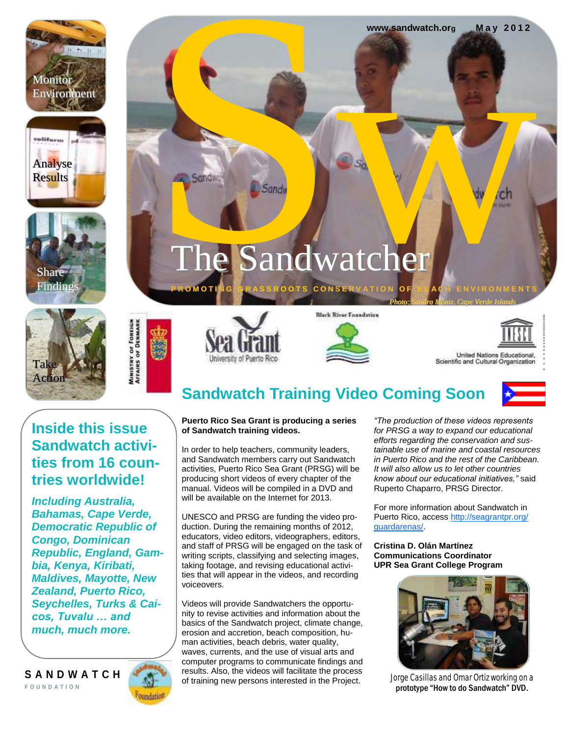











**P R O M O T I N G** 

Sandwick Sandwick



**Black River Foundation** 



United Nations Educational, Scientific and Cultural Organization

### **Inside this issue Sandwatch activities from 16 countries worldwide!**

*Including Australia, Bahamas, Cape Verde, Democratic Republic of Congo, Dominican Republic, England, Gambia, Kenya, Kiribati, Maldives, Mayotte, New Zealand, Puerto Rico, Seychelles, Turks & Caicos, Tuvalu … and much, much more.*

**S A N D W A T C H F O U N D A T I O N**



# **Sandwatch Training Video Coming Soon**

**GOTS CONSERVATE** 

The Sandwatcher



### **Puerto Rico Sea Grant is producing a series of Sandwatch training videos.**

In order to help teachers, community leaders, and Sandwatch members carry out Sandwatch activities, Puerto Rico Sea Grant (PRSG) will be producing short videos of every chapter of the manual. Videos will be compiled in a DVD and will be available on the Internet for 2013.

UNESCO and PRSG are funding the video production. During the remaining months of 2012, educators, video editors, videographers, editors, and staff of PRSG will be engaged on the task of writing scripts, classifying and selecting images, taking footage, and revising educational activities that will appear in the videos, and recording voiceovers.

Videos will provide Sandwatchers the opportunity to revise activities and information about the basics of the Sandwatch project, climate change, erosion and accretion, beach composition, human activities, beach debris, water quality, waves, currents, and the use of visual arts and computer programs to communicate findings and results. Also, the videos will facilitate the process of training new persons interested in the Project.

*"The production of these videos represents for PRSG a way to expand our educational efforts regarding the conservation and sustainable use of marine and coastal resources in Puerto Rico and the rest of the Caribbean. It will also allow us to let other countries know about our educational initiatives,"* said Ruperto Chaparro, PRSG Director.

*Photo: Sandra Moniz, Cape Verde Islands* 

WWW.sandwatch.org May 2012

**www.sandwatch.org M a y 2 0 1 2**

For more information about Sandwatch in Puerto Rico, access [http://seagrantpr.org/](http://seagrantpr.org/guardarenas/) [guardarenas/.](http://seagrantpr.org/guardarenas/)

**Cristina D. Olán Martínez Communications Coordinator UPR Sea Grant College Program**



Jorge Casillas and Omar Ortiz working on a prototype "How to do Sandwatch" DVD.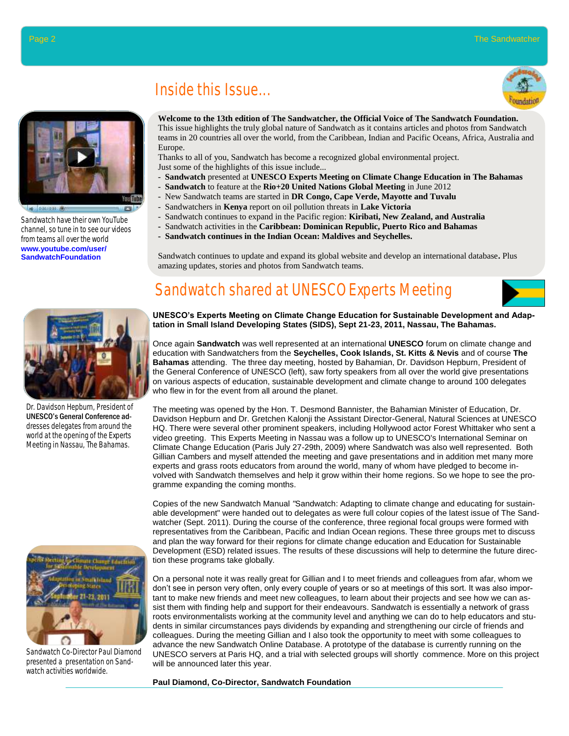

0.0070.007.007

Sandwatch have their own YouTube channel, so tune in to see our videos from teams all over the world **www.youtube.com/user/ SandwatchFoundation**

# Inside this Issue...



**Welcome to the 13th edition of The Sandwatcher, the Official Voice of The Sandwatch Foundation.** This issue highlights the truly global nature of Sandwatch as it contains articles and photos from Sandwatch

teams in 20 countries all over the world, from the Caribbean, Indian and Pacific Oceans, Africa, Australia and Europe.

Thanks to all of you, Sandwatch has become a recognized global environmental project. Just some of the highlights of this issue include...

- **Sandwatch** presented at **UNESCO Experts Meeting on Climate Change Education in The Bahamas**
- **Sandwatch** to feature at the **Rio+20 United Nations Global Meeting** in June 2012
- New Sandwatch teams are started in **DR Congo, Cape Verde, Mayotte and Tuvalu**
	- Sandwatchers in **Kenya** report on oil pollution threats in **Lake Victoria**
	- Sandwatch continues to expand in the Pacific region: **Kiribati, New Zealand, and Australia**
	- Sandwatch activities in the **Caribbean: Dominican Republic, Puerto Rico and Bahamas**
	- **Sandwatch continues in the Indian Ocean: Maldives and Seychelles.**

Sandwatch continues to update and expand its global website and develop an international database**.** Plus amazing updates, stories and photos from Sandwatch teams.

# Sandwatch shared at UNESCO Experts Meeting



**UNESCO's Experts Meeting on Climate Change Education for Sustainable Development and Adaptation in Small Island Developing States (SIDS), Sept 21-23, 2011, Nassau, The Bahamas.** 

Once again **Sandwatch** was well represented at an international **UNESCO** forum on climate change and education with Sandwatchers from the **Seychelles, Cook Islands, St. Kitts & Nevis** and of course **The Bahamas** attending. The three day meeting, hosted by Bahamian, Dr. Davidson Hepburn, President of the General Conference of UNESCO (left), saw forty speakers from all over the world give presentations on various aspects of education, sustainable development and climate change to around 100 delegates who flew in for the event from all around the planet.

The meeting was opened by the Hon. T. Desmond Bannister, the Bahamian Minister of Education, Dr. Davidson Hepburn and Dr. Gretchen Kalonji the Assistant Director-General, Natural Sciences at UNESCO HQ. There were several other prominent speakers, including Hollywood actor Forest Whittaker who sent a video greeting. This Experts Meeting in Nassau was a follow up to UNESCO's International Seminar on Climate Change Education (Paris July 27-29th, 2009) where Sandwatch was also well represented. Both Gillian Cambers and myself attended the meeting and gave presentations and in addition met many more experts and grass roots educators from around the world, many of whom have pledged to become involved with Sandwatch themselves and help it grow within their home regions. So we hope to see the programme expanding the coming months.

Copies of the new Sandwatch Manual *"*Sandwatch: Adapting to climate change and educating for sustainable development" were handed out to delegates as were full colour copies of the latest issue of The Sandwatcher (Sept. 2011). During the course of the conference, three regional focal groups were formed with representatives from the Caribbean, Pacific and Indian Ocean regions. These three groups met to discuss and plan the way forward for their regions for climate change education and Education for Sustainable Development (ESD) related issues. The results of these discussions will help to determine the future direction these programs take globally.

On a personal note it was really great for Gillian and I to meet friends and colleagues from afar, whom we don't see in person very often, only every couple of years or so at meetings of this sort. It was also important to make new friends and meet new colleagues, to learn about their projects and see how we can assist them with finding help and support for their endeavours. Sandwatch is essentially a network of grass roots environmentalists working at the community level and anything we can do to help educators and students in similar circumstances pays dividends by expanding and strengthening our circle of friends and colleagues. During the meeting Gillian and I also took the opportunity to meet with some colleagues to advance the new Sandwatch Online Database. A prototype of the database is currently running on the UNESCO servers at Paris HQ, and a trial with selected groups will shortly commence. More on this project will be announced later this year.

#### **Paul Diamond, Co-Director, Sandwatch Foundation**



Dr. Davidson Hepburn, President of UNESCO's General Conference addresses delegates from around the world at the opening of the Experts Meeting in Nassau, The Bahamas.



Sandwatch Co-Director Paul Diamond presented a presentation on Sandwatch activities worldwide.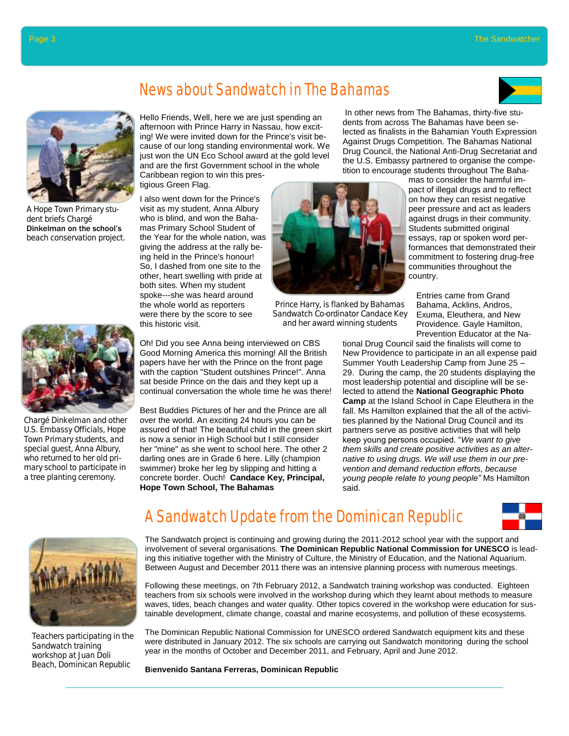

## News about Sandwatch in The Bahamas



A Hope Town Primary student briefs Chargé Dinkelman on the school's beach conservation project.



Chargé Dinkelman and other U.S. Embassy Officials, Hope Town Primary students, and special guest, Anna Albury, who returned to her old primary school to participate in a tree planting ceremony.



I also went down for the Prince's visit as my student, Anna Albury who is blind, and won the Bahamas Primary School Student of the Year for the whole nation, was giving the address at the rally being held in the Prince's honour! So, I dashed from one site to the other, heart swelling with pride at both sites. When my student spoke---she was heard around the whole world as reporters were there by the score to see this historic visit.



Prince Harry, is flanked by Bahamas Sandwatch Co-ordinator Candace Key and her award winning students

Oh! Did you see Anna being interviewed on CBS Good Morning America this morning! All the British papers have her with the Prince on the front page with the caption "Student outshines Prince!". Anna sat beside Prince on the dais and they kept up a continual conversation the whole time he was there!

Best Buddies Pictures of her and the Prince are all over the world. An exciting 24 hours you can be assured of that! The beautiful child in the green skirt is now a senior in High School but I still consider her "mine" as she went to school here. The other 2 darling ones are in Grade 6 here. Lilly (champion swimmer) broke her leg by slipping and hitting a concrete border. Ouch! **Candace Key, Principal, Hope Town School, The Bahamas** 

In other news from The Bahamas, thirty-five students from across The Bahamas have been selected as finalists in the Bahamian Youth Expression Against Drugs Competition. The Bahamas National Drug Council, the National Anti-Drug Secretariat and the U.S. Embassy partnered to organise the competition to encourage students throughout The Baha-

> mas to consider the harmful impact of illegal drugs and to reflect on how they can resist negative peer pressure and act as leaders against drugs in their community. Students submitted original essays, rap or spoken word performances that demonstrated their commitment to fostering drug-free communities throughout the country.

Entries came from Grand Bahama, Acklins, Andros, Exuma, Eleuthera, and New Providence. Gayle Hamilton, Prevention Educator at the Na-

tional Drug Council said the finalists will come to New Providence to participate in an all expense paid Summer Youth Leadership Camp from June 25 – 29. During the camp, the 20 students displaying the most leadership potential and discipline will be selected to attend the **National Geographic Photo Camp** at the Island School in Cape Eleuthera in the fall. Ms Hamilton explained that the all of the activities planned by the National Drug Council and its partners serve as positive activities that will help keep young persons occupied. "*We want to give them skills and create positive activities as an alternative to using drugs. We will use them in our prevention and demand reduction efforts, because young people relate to young people"* Ms Hamilton said.



Teachers participating in the Sandwatch training workshop at Juan Doli Beach, Dominican Republic

## A Sandwatch Update from the Dominican Republic



The Sandwatch project is continuing and growing during the 2011-2012 school year with the support and involvement of several organisations. **The Dominican Republic National Commission for UNESCO** is leading this initiative together with the Ministry of Culture, the Ministry of Education, and the National Aquarium. Between August and December 2011 there was an intensive planning process with numerous meetings.

Following these meetings, on 7th February 2012, a Sandwatch training workshop was conducted. Eighteen teachers from six schools were involved in the workshop during which they learnt about methods to measure waves, tides, beach changes and water quality. Other topics covered in the workshop were education for sustainable development, climate change, coastal and marine ecosystems, and pollution of these ecosystems.

The Dominican Republic National Commission for UNESCO ordered Sandwatch equipment kits and these were distributed in January 2012. The six schools are carrying out Sandwatch monitoring during the school year in the months of October and December 2011, and February, April and June 2012.

**B**i**envenido Santana Ferreras, Dominican Republic**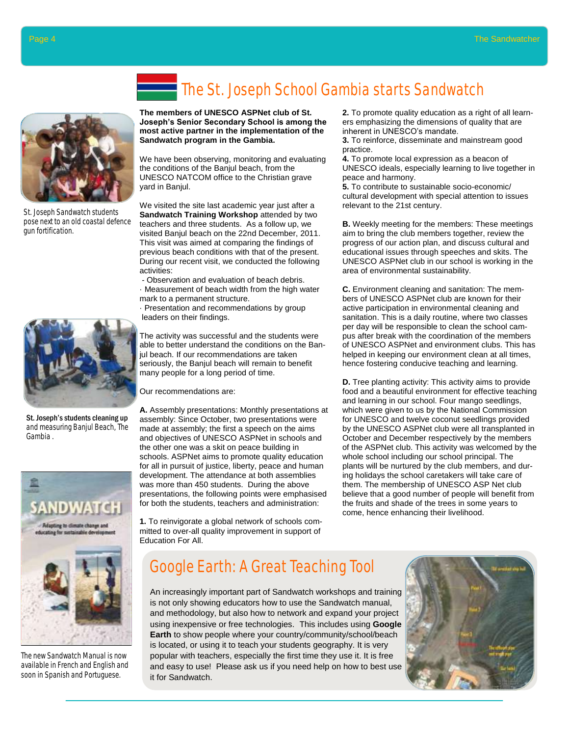

St. Joseph Sandwatch students pose next to an old coastal defence gun fortification.



St. Joseph's students cleaning up and measuring Banjul Beach, The Gambia .



The new Sandwatch Manual is now available in French and English and soon in Spanish and Portuguese.

# The St. Joseph School Gambia starts Sandwatch

**The members of UNESCO ASPNet club of St. Joseph's Senior Secondary School is among the most active partner in the implementation of the Sandwatch program in the Gambia.** 

We have been observing, monitoring and evaluating the conditions of the Banjul beach, from the UNESCO NATCOM office to the Christian grave yard in Banjul.

We visited the site last academic year just after a **Sandwatch Training Workshop** attended by two teachers and three students. As a follow up, we visited Banjul beach on the 22nd December, 2011. This visit was aimed at comparing the findings of previous beach conditions with that of the present. During our recent visit, we conducted the following activities:

*-* Observation and evaluation of beach debris. · Measurement of beach width from the high water mark to a permanent structure.

· Presentation and recommendations by group leaders on their findings.

The activity was successful and the students were able to better understand the conditions on the Banjul beach. If our recommendations are taken seriously, the Banjul beach will remain to benefit many people for a long period of time.

Our recommendations are:

**A.** Assembly presentations: Monthly presentations at assembly: Since October, two presentations were made at assembly; the first a speech on the aims and objectives of UNESCO ASPNet in schools and the other one was a skit on peace building in schools. ASPNet aims to promote quality education for all in pursuit of justice, liberty, peace and human development. The attendance at both assemblies was more than 450 students. During the above presentations, the following points were emphasised for both the students, teachers and administration:

**1.** To reinvigorate a global network of schools committed to over-all quality improvement in support of Education For All.

**2.** To promote quality education as a right of all learners emphasizing the dimensions of quality that are inherent in UNESCO's mandate.

**3.** To reinforce, disseminate and mainstream good practice.

**4.** To promote local expression as a beacon of UNESCO ideals, especially learning to live together in peace and harmony.

**5.** To contribute to sustainable socio-economic/ cultural development with special attention to issues relevant to the 21st century.

**B.** Weekly meeting for the members: These meetings aim to bring the club members together, review the progress of our action plan, and discuss cultural and educational issues through speeches and skits. The UNESCO ASPNet club in our school is working in the area of environmental sustainability.

**C.** Environment cleaning and sanitation: The members of UNESCO ASPNet club are known for their active participation in environmental cleaning and sanitation. This is a daily routine, where two classes per day will be responsible to clean the school campus after break with the coordination of the members of UNESCO ASPNet and environment clubs. This has helped in keeping our environment clean at all times, hence fostering conducive teaching and learning.

**D.** Tree planting activity: This activity aims to provide food and a beautiful environment for effective teaching and learning in our school. Four mango seedlings, which were given to us by the National Commission for UNESCO and twelve coconut seedlings provided by the UNESCO ASPNet club were all transplanted in October and December respectively by the members of the ASPNet club. This activity was welcomed by the whole school including our school principal. The plants will be nurtured by the club members, and during holidays the school caretakers will take care of them. The membership of UNESCO ASP Net club believe that a good number of people will benefit from the fruits and shade of the trees in some years to come, hence enhancing their livelihood.

## Google Earth: A Great Teaching Tool

An increasingly important part of Sandwatch workshops and training is not only showing educators how to use the Sandwatch manual, and methodology, but also how to network and expand your project using inexpensive or free technologies. This includes using **Google Earth** to show people where your country/community/school/beach is located, or using it to teach your students geography. It is very popular with teachers, especially the first time they use it. It is free and easy to use! Please ask us if you need help on how to best use it for Sandwatch.

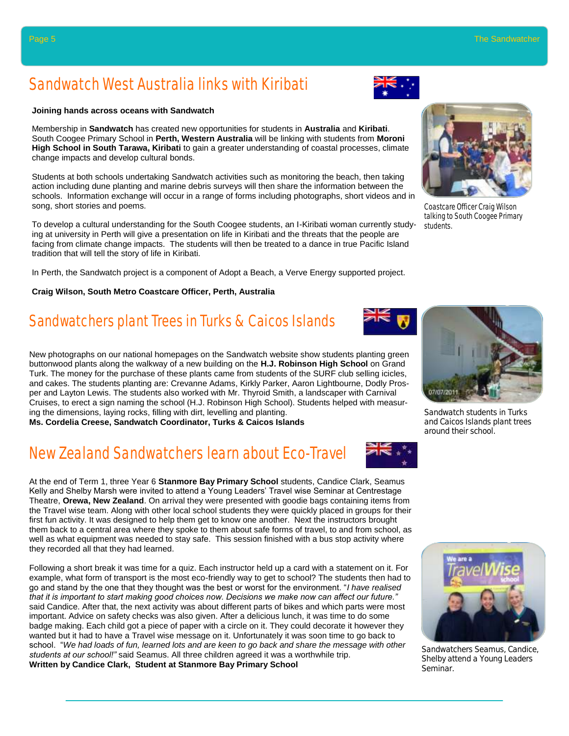## Sandwatch West Australia links with Kiribati

### **Joining hands across oceans with Sandwatch**

Membership in **Sandwatch** has created new opportunities for students in **Australia** and **Kiribati**. South Coogee Primary School in **Perth, Western Australia** will be linking with students from **Moroni High School in South Tarawa, Kiribati** to gain a greater understanding of coastal processes, climate change impacts and develop cultural bonds.

Students at both schools undertaking Sandwatch activities such as monitoring the beach, then taking action including dune planting and marine debris surveys will then share the information between the schools. Information exchange will occur in a range of forms including photographs, short videos and in song, short stories and poems.

To develop a cultural understanding for the South Coogee students, an I-Kiribati woman currently studying at university in Perth will give a presentation on life in Kiribati and the threats that the people are facing from climate change impacts. The students will then be treated to a dance in true Pacific Island tradition that will tell the story of life in Kiribati.

In Perth, the Sandwatch project is a component of Adopt a Beach, a Verve Energy supported project.

### **Craig Wilson, South Metro Coastcare Officer, Perth, Australia**

# Sandwatchers plant Trees in Turks & Caicos Islands

New photographs on our national homepages on the Sandwatch website show students planting green buttonwood plants along the walkway of a new building on the **H.J. Robinson High School** on Grand Turk. The money for the purchase of these plants came from students of the SURF club selling icicles, and cakes. The students planting are: Crevanne Adams, Kirkly Parker, Aaron Lightbourne, Dodly Prosper and Layton Lewis. The students also worked with Mr. Thyroid Smith, a landscaper with Carnival Cruises, to erect a sign naming the school (H.J. Robinson High School). Students helped with measuring the dimensions, laying rocks, filling with dirt, levelling and planting. **Ms. Cordelia Creese, Sandwatch Coordinator, Turks & Caicos Islands**

New Zealand Sandwatchers learn about Eco-Travel

At the end of Term 1, three Year 6 **Stanmore Bay Primary School** students, Candice Clark, Seamus Kelly and Shelby Marsh were invited to attend a Young Leaders' Travel wise Seminar at Centrestage Theatre, **Orewa, New Zealand**. On arrival they were presented with goodie bags containing items from the Travel wise team. Along with other local school students they were quickly placed in groups for their first fun activity. It was designed to help them get to know one another. Next the instructors brought them back to a central area where they spoke to them about safe forms of travel, to and from school, as well as what equipment was needed to stay safe. This session finished with a bus stop activity where they recorded all that they had learned.

Following a short break it was time for a quiz. Each instructor held up a card with a statement on it. For example, what form of transport is the most eco-friendly way to get to school? The students then had to go and stand by the one that they thought was the best or worst for the environment. "*I have realised that it is important to start making good choices now. Decisions we make now can affect our future."*  said Candice. After that, the next activity was about different parts of bikes and which parts were most important. Advice on safety checks was also given. After a delicious lunch, it was time to do some badge making. Each child got a piece of paper with a circle on it. They could decorate it however they wanted but it had to have a Travel wise message on it. Unfortunately it was soon time to go back to school. "*We had loads of fun, learned lots and are keen to go back and share the message with other students at our school!"* said Seamus. All three children agreed it was a worthwhile trip. **Written by Candice Clark, Student at Stanmore Bay Primary School** 



students.

07/07/201

Sandwatch students in Turks and Caicos Islands plant trees around their school.



Sandwatchers Seamus, Candice, Shelby attend a Young Leaders Seminar.



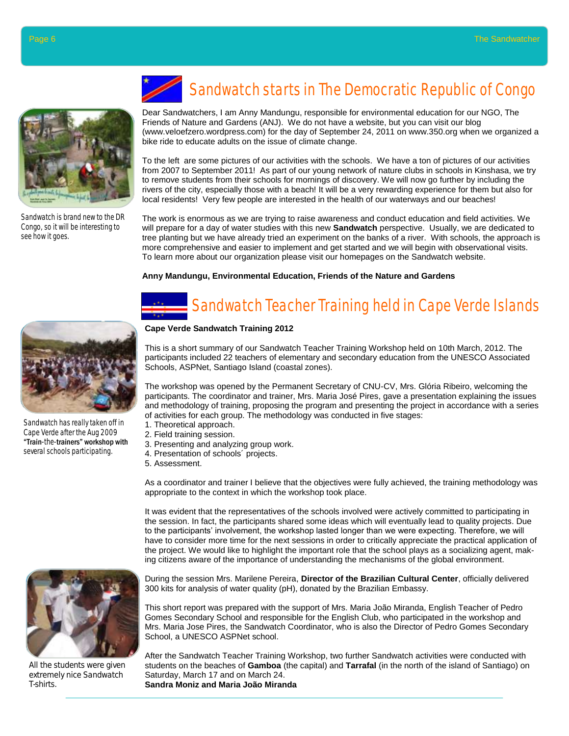

Sandwatch is brand new to the DR Congo, so it will be interesting to see how it goes.

# Sandwatch starts in The Democratic Republic of Congo

Dear Sandwatchers, I am Anny Mandungu, responsible for environmental education for our NGO, The Friends of Nature and Gardens (ANJ). We do not have a website, but you can visit our blog (www.veloefzero.wordpress.com) for the day of September 24, 2011 on www.350.org when we organized a bike ride to educate adults on the issue of climate change.

To the left are some pictures of our activities with the schools. We have a ton of pictures of our activities from 2007 to September 2011! As part of our young network of nature clubs in schools in Kinshasa, we try to remove students from their schools for mornings of discovery. We will now go further by including the rivers of the city, especially those with a beach! It will be a very rewarding experience for them but also for local residents! Very few people are interested in the health of our waterways and our beaches!

The work is enormous as we are trying to raise awareness and conduct education and field activities. We will prepare for a day of water studies with this new **Sandwatch** perspective. Usually, we are dedicated to tree planting but we have already tried an experiment on the banks of a river. With schools, the approach is more comprehensive and easier to implement and get started and we will begin with observational visits. To learn more about our organization please visit our homepages on the Sandwatch website.

### **Anny Mandungu, Environmental Education, Friends of the Nature and Gardens**

# Sandwatch Teacher Training held in Cape Verde Islands

### **Cape Verde Sandwatch Training 2012**

This is a short summary of our Sandwatch Teacher Training Workshop held on 10th March, 2012. The participants included 22 teachers of elementary and secondary education from the UNESCO Associated Schools, ASPNet, Santiago Island (coastal zones).

The workshop was opened by the Permanent Secretary of CNU-CV, Mrs. Glória Ribeiro, welcoming the participants. The coordinator and trainer, Mrs. Maria José Pires, gave a presentation explaining the issues and methodology of training, proposing the program and presenting the project in accordance with a series of activities for each group. The methodology was conducted in five stages:

- 1. Theoretical approach.
- 2. Field training session.
- 3. Presenting and analyzing group work.
- 4. Presentation of schools´ projects.
- 5. Assessment.

As a coordinator and trainer I believe that the objectives were fully achieved, the training methodology was appropriate to the context in which the workshop took place.

It was evident that the representatives of the schools involved were actively committed to participating in the session. In fact, the participants shared some ideas which will eventually lead to quality projects. Due to the participants' involvement, the workshop lasted longer than we were expecting. Therefore, we will have to consider more time for the next sessions in order to critically appreciate the practical application of the project. We would like to highlight the important role that the school plays as a socializing agent, making citizens aware of the importance of understanding the mechanisms of the global environment.

During the session Mrs. Marilene Pereira, **Director of the Brazilian Cultural Center**, officially delivered 300 kits for analysis of water quality (pH), donated by the Brazilian Embassy.

This short report was prepared with the support of Mrs. Maria João Miranda, English Teacher of Pedro Gomes Secondary School and responsible for the English Club, who participated in the workshop and Mrs. Maria Jose Pires, the Sandwatch Coordinator, who is also the Director of Pedro Gomes Secondary School, a UNESCO ASPNet school.

After the Sandwatch Teacher Training Workshop, two further Sandwatch activities were conducted with students on the beaches of **Gamboa** (the capital) and **Tarrafal** (in the north of the island of Santiago) on Saturday, March 17 and on March 24. **Sandra Moniz and Maria João Miranda**



Sandwatch has really taken off in Cape Verde after the Aug 2009 "Train-the-trainers" workshop with several schools participating.



All the students were given extremely nice Sandwatch T-shirts.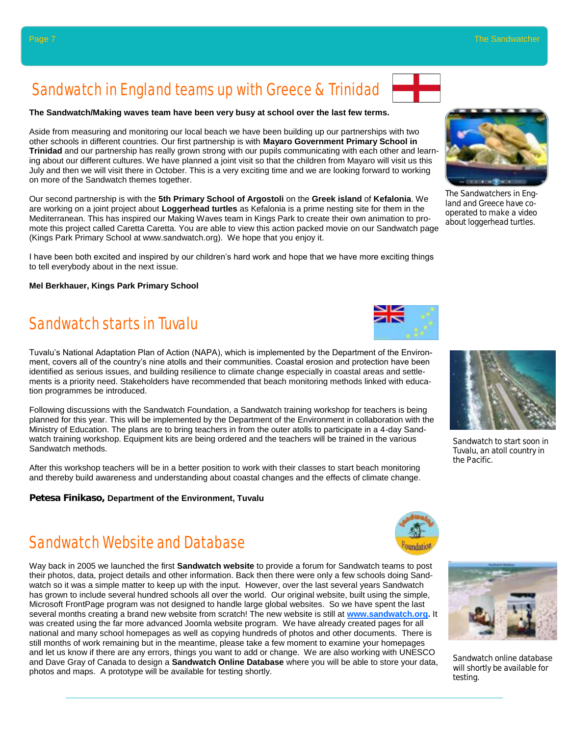# Sandwatch in England teams up with Greece & Trinidad

### **The Sandwatch/Making waves team have been very busy at school over the last few terms.**

Aside from measuring and monitoring our local beach we have been building up our partnerships with two other schools in different countries. Our first partnership is with **Mayaro Government Primary School in Trinidad** and our partnership has really grown strong with our pupils communicating with each other and learning about our different cultures. We have planned a joint visit so that the children from Mayaro will visit us this July and then we will visit there in October. This is a very exciting time and we are looking forward to working on more of the Sandwatch themes together.

Our second partnership is with the **5th Primary School of Argostoli** on the **Greek island** of **Kefalonia**. We are working on a joint project about **Loggerhead turtles** as Kefalonia is a prime nesting site for them in the Mediterranean. This has inspired our Making Waves team in Kings Park to create their own animation to promote this project called Caretta Caretta. You are able to view this action packed movie on our Sandwatch page (Kings Park Primary School at www.sandwatch.org). We hope that you enjoy it.

I have been both excited and inspired by our children's hard work and hope that we have more exciting things to tell everybody about in the next issue.

### **Mel Berkhauer, Kings Park Primary School**

## Sandwatch starts in Tuvalu

Tuvalu's National Adaptation Plan of Action (NAPA), which is implemented by the Department of the Environment, covers all of the country's nine atolls and their communities. Coastal erosion and protection have been identified as serious issues, and building resilience to climate change especially in coastal areas and settlements is a priority need. Stakeholders have recommended that beach monitoring methods linked with education programmes be introduced.

Following discussions with the Sandwatch Foundation, a Sandwatch training workshop for teachers is being planned for this year. This will be implemented by the Department of the Environment in collaboration with the Ministry of Education. The plans are to bring teachers in from the outer atolls to participate in a 4-day Sandwatch training workshop. Equipment kits are being ordered and the teachers will be trained in the various Sandwatch methods.

After this workshop teachers will be in a better position to work with their classes to start beach monitoring and thereby build awareness and understanding about coastal changes and the effects of climate change.

**Petesa Finikaso, Department of the Environment, Tuvalu**

## Sandwatch Website and Database

Way back in 2005 we launched the first **Sandwatch website** to provide a forum for Sandwatch teams to post their photos, data, project details and other information. Back then there were only a few schools doing Sandwatch so it was a simple matter to keep up with the input. However, over the last several years Sandwatch has grown to include several hundred schools all over the world. Our original website, built using the simple, Microsoft FrontPage program was not designed to handle large global websites. So we have spent the last several months creating a brand new website from scratch! The new website is still at **[www.sandwatch.org.](http://www.sandwatch.org)** It was created using the far more advanced Joomla website program. We have already created pages for all national and many school homepages as well as copying hundreds of photos and other documents. There is still months of work remaining but in the meantime, please take a few moment to examine your homepages and let us know if there are any errors, things you want to add or change. We are also working with UNESCO and Dave Gray of Canada to design a **Sandwatch Online Database** where you will be able to store your data, photos and maps. A prototype will be available for testing shortly.

The Sandwatchers in England and Greece have cooperated to make a video about loggerhead turtles.



the Pacific.





Sandwatch online database will shortly be available for testing.



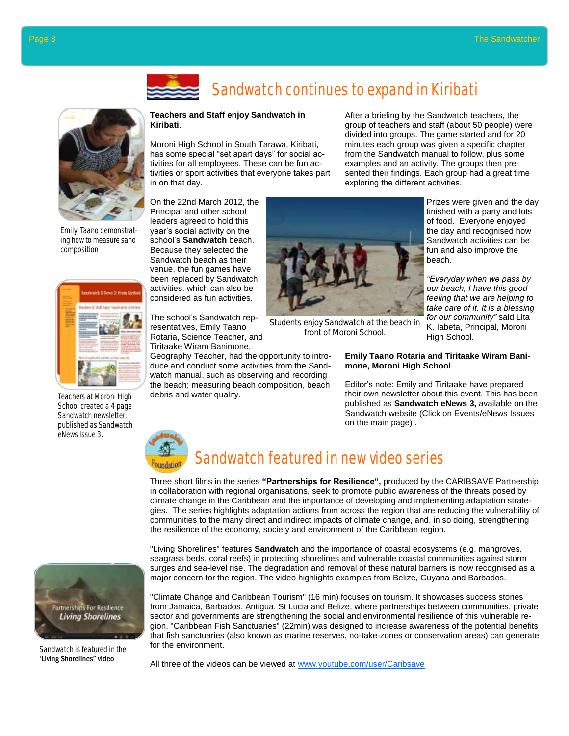

## Sandwatch continues to expand in Kiribati

#### **Teachers and Staff enjoy Sandwatch in Kiribati**.

Moroni High School in South Tarawa, Kiribati, has some special "set apart days" for social activities for all employees. These can be fun activities or sport activities that everyone takes part in on that day.

After a briefing by the Sandwatch teachers, the group of teachers and staff (about 50 people) were divided into groups. The game started and for 20 minutes each group was given a specific chapter from the Sandwatch manual to follow, plus some examples and an activity. The groups then presented their findings. Each group had a great time exploring the different activities.

On the 22nd March 2012, the Principal and other school leaders agreed to hold this year's social activity on the school's **Sandwatch** beach. Because they selected the Sandwatch beach as their venue, the fun games have been replaced by Sandwatch activities, which can also be considered as fun activities.

The school's Sandwatch representatives, Emily Taano Rotaria, Science Teacher, and Tiritaake Wiram Banimone,

Geography Teacher, had the opportunity to introduce and conduct some activities from the Sandwatch manual, such as observing and recording the beach; measuring beach composition, beach debris and water quality.



Students enjoy Sandwatch at the beach in front of Moroni School.

Prizes were given and the day finished with a party and lots of food. Everyone enjoyed the day and recognised how Sandwatch activities can be fun and also improve the beach.

*"Everyday when we pass by our beach, I have this good feeling that we are helping to take care of it. It is a blessing for our community"* said Lita K. Iabeta, Principal, Moroni High School.

### **Emily Taano Rotaria and Tiritaake Wiram Banimone, Moroni High School**

Editor's note: Emily and Tiritaake have prepared their own newsletter about this event. This has been published as **Sandwatch eNews 3,** available on the Sandwatch website (Click on Events/eNews Issues on the main page) .



# Sandwatch featured in new video series

Three short films in the series **"Partnerships for Resilience",** produced by the CARIBSAVE Partnership in collaboration with regional organisations, seek to promote public awareness of the threats posed by climate change in the Caribbean and the importance of developing and implementing adaptation strategies. The series highlights adaptation actions from across the region that are reducing the vulnerability of communities to the many direct and indirect impacts of climate change, and, in so doing, strengthening the resilience of the economy, society and environment of the Caribbean region.

"Living Shorelines" features **Sandwatch** and the importance of coastal ecosystems (e.g. mangroves, seagrass beds, coral reefs) in protecting shorelines and vulnerable coastal communities against storm surges and sea-level rise. The degradation and removal of these natural barriers is now recognised as a major concern for the region. The video highlights examples from Belize, Guyana and Barbados.

"Climate Change and Caribbean Tourism" (16 min) focuses on tourism. It showcases success stories from Jamaica, Barbados, Antigua, St Lucia and Belize, where partnerships between communities, private sector and governments are strengthening the social and environmental resilience of this vulnerable region. "Caribbean Fish Sanctuaries" (22min) was designed to increase awareness of the potential benefits that fish sanctuaries (also known as marine reserves, no-take-zones or conservation areas) can generate for the environment.

All three of the videos can be viewed at www.youtube.com/user/Caribsave

Emily Taano demonstrating how to measure sand composition



Teachers at Moroni High School created a 4 page Sandwatch newsletter, published as Sandwatch eNews Issue 3.



Sandwatch is featured in the 'Living Shorelines" video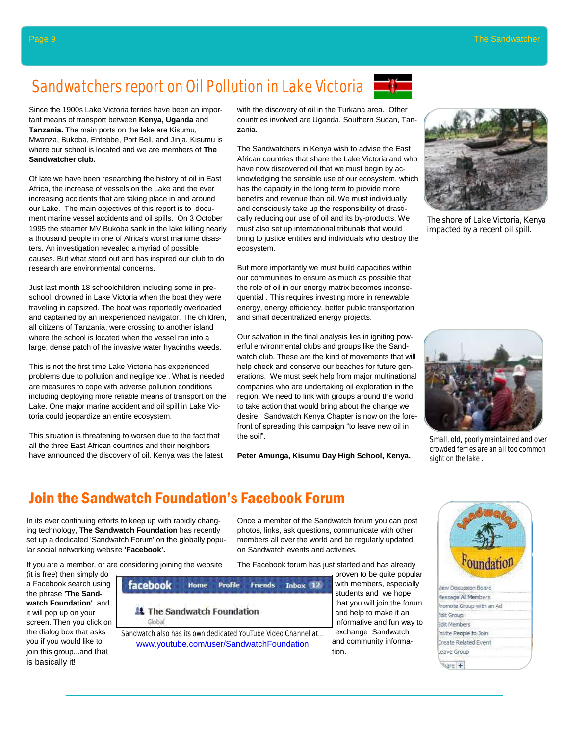# Sandwatchers report on Oil Pollution in Lake Victoria

Since the 1900s Lake Victoria ferries have been an important means of transport between **Kenya, Uganda** and **Tanzania.** The main ports on the lake are Kisumu, Mwanza, Bukoba, Entebbe, Port Bell, and Jinja. Kisumu is where our school is located and we are members of **The** 

Of late we have been researching the history of oil in East Africa, the increase of vessels on the Lake and the ever increasing accidents that are taking place in and around our Lake. The main objectives of this report is to document marine vessel accidents and oil spills. On 3 October 1995 the steamer MV Bukoba sank in the lake killing nearly a thousand people in one of Africa's worst maritime disasters. An investigation revealed a myriad of possible causes. But what stood out and has inspired our club to do

Just last month 18 schoolchildren including some in preschool, drowned in Lake Victoria when the boat they were traveling in capsized. The boat was reportedly overloaded and captained by an inexperienced navigator. The children, all citizens of Tanzania, were crossing to another island where the school is located when the vessel ran into a large, dense patch of the invasive water hyacinths weeds.

This is not the first time Lake Victoria has experienced problems due to pollution and negligence . What is needed are measures to cope with adverse pollution conditions including deploying more reliable means of transport on the Lake. One major marine accident and oil spill in Lake Vic-

This situation is threatening to worsen due to the fact that all the three East African countries and their neighbors have announced the discovery of oil. Kenya was the latest

toria could jeopardize an entire ecosystem.

research are environmental concerns.

with the discovery of oil in the Turkana area. Other countries involved are Uganda, Southern Sudan, Tanzania.

The Sandwatchers in Kenya wish to advise the East African countries that share the Lake Victoria and who have now discovered oil that we must begin by acknowledging the sensible use of our ecosystem, which has the capacity in the long term to provide more benefits and revenue than oil. We must individually and consciously take up the responsibility of drastically reducing our use of oil and its by-products. We must also set up international tribunals that would bring to justice entities and individuals who destroy the ecosystem.

But more importantly we must build capacities within our communities to ensure as much as possible that the role of oil in our energy matrix becomes inconsequential . This requires investing more in renewable energy, energy efficiency, better public transportation and small decentralized energy projects.

Our salvation in the final analysis lies in igniting powerful environmental clubs and groups like the Sandwatch club. These are the kind of movements that will help check and conserve our beaches for future generations. We must seek help from major multinational companies who are undertaking oil exploration in the region. We need to link with groups around the world to take action that would bring about the change we desire. Sandwatch Kenya Chapter is now on the forefront of spreading this campaign "to leave new oil in the soil".

**Peter Amunga, Kisumu Day High School, Kenya.** 



The shore of Lake Victoria, Kenya impacted by a recent oil spill.



Small, old, poorly maintained and over crowded ferries are an all too common sight on the lake .

## Join the Sandwatch Foundation's Facebook Forum

In its ever continuing efforts to keep up with rapidly changing technology, **The Sandwatch Foundation** has recently set up a dedicated 'Sandwatch Forum' on the globally popular social networking website **'Facebook'.** 

Once a member of the Sandwatch forum you can post photos, links, ask questions, communicate with other members all over the world and be regularly updated on Sandwatch events and activities.

The Facebook forum has just started and has already

proven to be quite popular

If you are a member, or are considering joining the website

(it is free) then simply do a Facebook search using the phrase **'The Sandwatch Foundation'**, and it will pop up on your screen. Then you click on the dialog box that asks you if you would like to join this group...and that is basically it!





| 10010110101011<br><b><i><u>BORDER</u></i></b>  |  |
|------------------------------------------------|--|
| <br>note Grou                                  |  |
| dit Group                                      |  |
| <b></b><br>ember<br>31 t 1                     |  |
| eople to Join<br>.<br>$-1$ $-1$ $-1$ $-1$ $-1$ |  |
| eate Relat<br>ed Ev                            |  |
| ve Group                                       |  |
|                                                |  |
|                                                |  |

**Sandwatcher club.**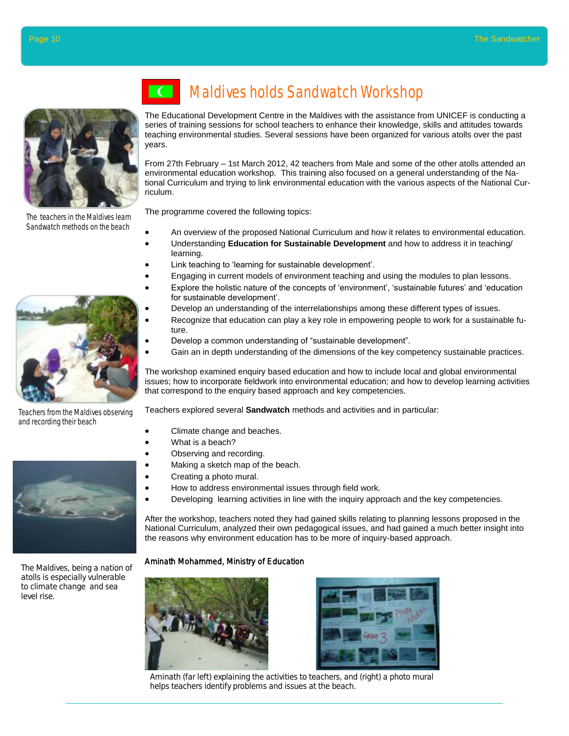

The teachers in the Maldives learn Sandwatch methods on the beach



Teachers from the Maldives observing and recording their beach



The Maldives, being a nation of atolls is especially vulnerable to climate change and sea level rise.

# Maldives holds Sandwatch Workshop

The Educational Development Centre in the Maldives with the assistance from UNICEF is conducting a series of training sessions for school teachers to enhance their knowledge, skills and attitudes towards teaching environmental studies. Several sessions have been organized for various atolls over the past years.

From 27th February – 1st March 2012, 42 teachers from Male and some of the other atolls attended an environmental education workshop. This training also focused on a general understanding of the National Curriculum and trying to link environmental education with the various aspects of the National Curriculum.

The programme covered the following topics:

- An overview of the proposed National Curriculum and how it relates to environmental education.
- Understanding **Education for Sustainable Development** and how to address it in teaching/ learning.
- Link teaching to 'learning for sustainable development'.
- Engaging in current models of environment teaching and using the modules to plan lessons.
- Explore the holistic nature of the concepts of 'environment', 'sustainable futures' and 'education for sustainable development'.
- Develop an understanding of the interrelationships among these different types of issues.
- Recognize that education can play a key role in empowering people to work for a sustainable future.
- Develop a common understanding of "sustainable development".
- Gain an in depth understanding of the dimensions of the key competency sustainable practices.

The workshop examined enquiry based education and how to include local and global environmental issues; how to incorporate fieldwork into environmental education; and how to develop learning activities that correspond to the enquiry based approach and key competencies.

Teachers explored several **Sandwatch** methods and activities and in particular:

- Climate change and beaches.
- What is a beach?
- Observing and recording.
- Making a sketch map of the beach.
- Creating a photo mural.
- How to address environmental issues through field work.
- Developing learning activities in line with the inquiry approach and the key competencies.

After the workshop, teachers noted they had gained skills relating to planning lessons proposed in the National Curriculum, analyzed their own pedagogical issues, and had gained a much better insight into the reasons why environment education has to be more of inquiry-based approach.

### Aminath Mohammed, Ministry of Education





Aminath (far left) explaining the activities to teachers, and (right) a photo mural helps teachers identify problems and issues at the beach.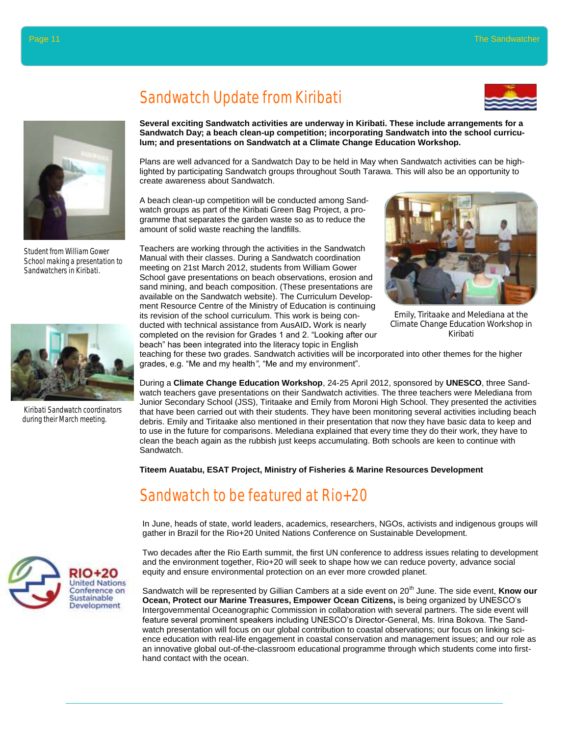

Student from William Gower School making a presentation to Sandwatchers in Kiribati.



Kiribati Sandwatch coordinators during their March meeting.





**Several exciting Sandwatch activities are underway in Kiribati. These include arrangements for a Sandwatch Day; a beach clean-up competition; incorporating Sandwatch into the school curriculum; and presentations on Sandwatch at a Climate Change Education Workshop.**

Plans are well advanced for a Sandwatch Day to be held in May when Sandwatch activities can be highlighted by participating Sandwatch groups throughout South Tarawa. This will also be an opportunity to create awareness about Sandwatch.

A beach clean-up competition will be conducted among Sandwatch groups as part of the Kiribati Green Bag Project, a programme that separates the garden waste so as to reduce the amount of solid waste reaching the landfills.

Teachers are working through the activities in the Sandwatch Manual with their classes. During a Sandwatch coordination meeting on 21st March 2012, students from William Gower School gave presentations on beach observations, erosion and sand mining, and beach composition. (These presentations are available on the Sandwatch website). The Curriculum Development Resource Centre of the Ministry of Education is continuing its revision of the school curriculum. This work is being conducted with technical assistance from AusAID**.** Work is nearly completed on the revision for Grades 1 and 2. "Looking after our beach" has been integrated into the literacy topic in English



Emily, Tiritaake and Melediana at the Climate Change Education Workshop in Kiribati

teaching for these two grades. Sandwatch activities will be incorporated into other themes for the higher grades, e.g. "Me and my health*"*, "Me and my environment".

During a **Climate Change Education Workshop**, 24-25 April 2012, sponsored by **UNESCO**, three Sandwatch teachers gave presentations on their Sandwatch activities. The three teachers were Melediana from Junior Secondary School (JSS), Tiritaake and Emily from Moroni High School. They presented the activities that have been carried out with their students. They have been monitoring several activities including beach debris. Emily and Tiritaake also mentioned in their presentation that now they have basic data to keep and to use in the future for comparisons. Melediana explained that every time they do their work, they have to clean the beach again as the rubbish just keeps accumulating. Both schools are keen to continue with Sandwatch.

**Titeem Auatabu, ESAT Project, Ministry of Fisheries & Marine Resources Development**

## Sandwatch to be featured at Rio+20

In June, heads of state, world leaders, academics, researchers, NGOs, activists and indigenous groups will gather in Brazil for the Rio+20 United Nations Conference on Sustainable Development.

Two decades after the Rio Earth summit, the first UN conference to address issues relating to development and the environment together, Rio+20 will seek to shape how we can reduce poverty, advance social equity and ensure environmental protection on an ever more crowded planet.

Sandwatch will be represented by Gillian Cambers at a side event on 20<sup>th</sup> June. The side event, **Know our Ocean, Protect our Marine Treasures, Empower Ocean Citizens,** is being organized by UNESCO's Intergovernmental Oceanographic Commission in collaboration with several partners. The side event will feature several prominent speakers including UNESCO's Director-General, Ms. Irina Bokova. The Sandwatch presentation will focus on our global contribution to coastal observations; our focus on linking science education with real-life engagement in coastal conservation and management issues; and our role as an innovative global out-of-the-classroom educational programme through which students come into firsthand contact with the ocean.

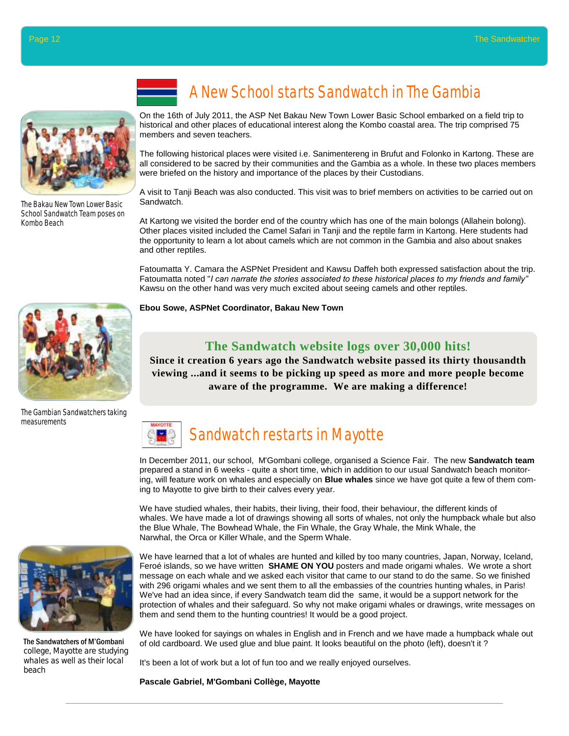

The Bakau New Town Lower Basic School Sandwatch Team poses on Kombo Beach

# A New School starts Sandwatch in The Gambia

On the 16th of July 2011, the ASP Net Bakau New Town Lower Basic School embarked on a field trip to historical and other places of educational interest along the Kombo coastal area. The trip comprised 75 members and seven teachers.

The following historical places were visited i.e. Sanimentereng in Brufut and Folonko in Kartong. These are all considered to be sacred by their communities and the Gambia as a whole. In these two places members were briefed on the history and importance of the places by their Custodians.

A visit to Tanji Beach was also conducted. This visit was to brief members on activities to be carried out on Sandwatch.

At Kartong we visited the border end of the country which has one of the main bolongs (Allahein bolong). Other places visited included the Camel Safari in Tanji and the reptile farm in Kartong. Here students had the opportunity to learn a lot about camels which are not common in the Gambia and also about snakes and other reptiles.

Fatoumatta Y. Camara the ASPNet President and Kawsu Daffeh both expressed satisfaction about the trip. Fatoumatta noted "*I can narrate the stories associated to these historical places to my friends and family"*  Kawsu on the other hand was very much excited about seeing camels and other reptiles.

**Ebou Sowe, ASPNet Coordinator, Bakau New Town**

### **The Sandwatch website logs over 30,000 hits!**

**Since it creation 6 years ago the Sandwatch website passed its thirty thousandth viewing ...and it seems to be picking up speed as more and more people become aware of the programme. We are making a difference!**



In December 2011, our school, M'Gombani college, organised a Science Fair. The new **Sandwatch team**  prepared a stand in 6 weeks - quite a short time, which in addition to our usual Sandwatch beach monitoring, will feature work on whales and especially on **Blue whales** since we have got quite a few of them coming to Mayotte to give birth to their calves every year.

We have studied whales, their habits, their living, their food, their behaviour, the different kinds of whales. We have made a lot of drawings showing all sorts of whales, not only the humpback whale but also the Blue Whale, The Bowhead Whale, the Fin Whale, the Gray Whale, the Mink Whale, the Narwhal, the Orca or Killer Whale, and the Sperm Whale.

We have learned that a lot of whales are hunted and killed by too many countries, Japan, Norway, Iceland, Feroé islands, so we have written **SHAME ON YOU** posters and made origami whales. We wrote a short message on each whale and we asked each visitor that came to our stand to do the same. So we finished with 296 origami whales and we sent them to all the embassies of the countries hunting whales, in Paris! We've had an idea since, if every Sandwatch team did the same, it would be a support network for the protection of whales and their safeguard. So why not make origami whales or drawings, write messages on them and send them to the hunting countries! It would be a good project.

We have looked for sayings on whales in English and in French and we have made a humpback whale out of old cardboard. We used glue and blue paint. It looks beautiful on the photo (left), doesn't it ?

It's been a lot of work but a lot of fun too and we really enjoyed ourselves.

**Pascale Gabriel, M'Gombani Collège, Mayotte**



The Gambian Sandwatchers taking measurements



The Sandwatchers of M'Gombani college, Mayotte are studying whales as well as their local beach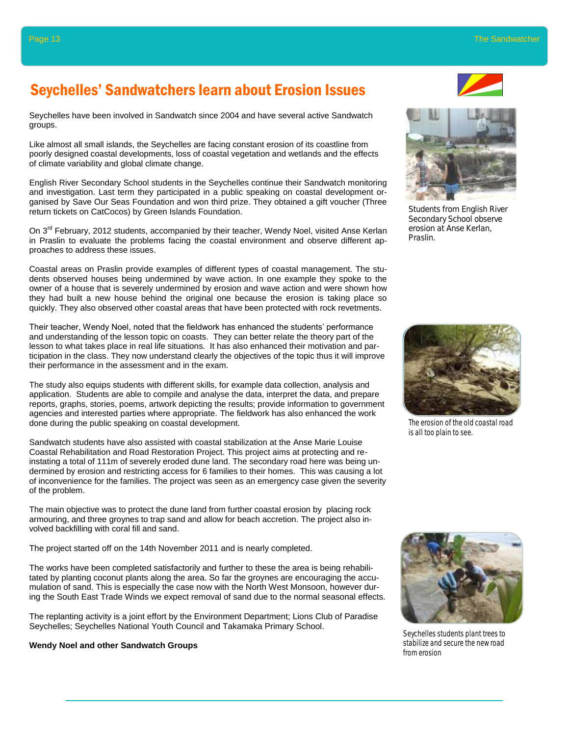## Seychelles' Sandwatchers learn about Erosion Issues

Seychelles have been involved in Sandwatch since 2004 and have several active Sandwatch groups.

Like almost all small islands, the Seychelles are facing constant erosion of its coastline from poorly designed coastal developments, loss of coastal vegetation and wetlands and the effects of climate variability and global climate change.

English River Secondary School students in the Seychelles continue their Sandwatch monitoring and investigation. Last term they participated in a public speaking on coastal development organised by Save Our Seas Foundation and won third prize. They obtained a gift voucher (Three return tickets on CatCocos) by Green Islands Foundation.

On 3<sup>rd</sup> February, 2012 students, accompanied by their teacher, Wendy Noel, visited Anse Kerlan in Praslin to evaluate the problems facing the coastal environment and observe different approaches to address these issues.

Coastal areas on Praslin provide examples of different types of coastal management. The students observed houses being undermined by wave action. In one example they spoke to the owner of a house that is severely undermined by erosion and wave action and were shown how they had built a new house behind the original one because the erosion is taking place so quickly. They also observed other coastal areas that have been protected with rock revetments.

Their teacher, Wendy Noel, noted that the fieldwork has enhanced the students' performance and understanding of the lesson topic on coasts. They can better relate the theory part of the lesson to what takes place in real life situations. It has also enhanced their motivation and participation in the class. They now understand clearly the objectives of the topic thus it will improve their performance in the assessment and in the exam.

The study also equips students with different skills, for example data collection, analysis and application. Students are able to compile and analyse the data, interpret the data, and prepare reports, graphs, stories, poems, artwork depicting the results; provide information to government agencies and interested parties where appropriate. The fieldwork has also enhanced the work done during the public speaking on coastal development.

Sandwatch students have also assisted with coastal stabilization at the Anse Marie Louise Coastal Rehabilitation and Road Restoration Project. This project aims at protecting and reinstating a total of 111m of severely eroded dune land. The secondary road here was being undermined by erosion and restricting access for 6 families to their homes. This was causing a lot of inconvenience for the families. The project was seen as an emergency case given the severity of the problem.

The main objective was to protect the dune land from further coastal erosion by placing rock armouring, and three groynes to trap sand and allow for beach accretion. The project also involved backfilling with coral fill and sand.

The project started off on the 14th November 2011 and is nearly completed.

The works have been completed satisfactorily and further to these the area is being rehabilitated by planting coconut plants along the area. So far the groynes are encouraging the accumulation of sand. This is especially the case now with the North West Monsoon, however during the South East Trade Winds we expect removal of sand due to the normal seasonal effects.

The replanting activity is a joint effort by the Environment Department; Lions Club of Paradise Seychelles; Seychelles National Youth Council and Takamaka Primary School.

### **Wendy Noel and other Sandwatch Groups**





Students from English River Secondary School observe erosion at Anse Kerlan, Praslin.



The erosion of the old coastal road is all too plain to see.



Seychelles students plant trees to stabilize and secure the new road from erosion